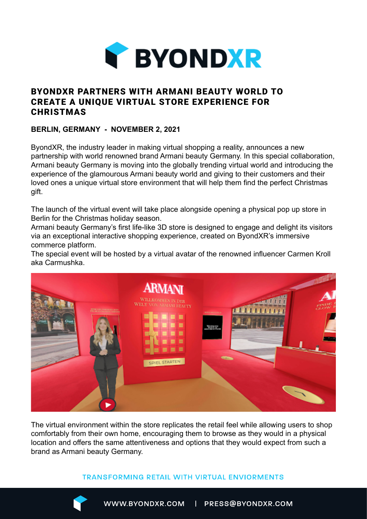

# BYONDXR PARTNERS WITH ARMANI BEAUTY WORLD TO CREATE A UNIQUE VIRTUAL STORE EXPERIENCE FOR **CHRISTMAS**

## **BERLIN, GERMANY - NOVEMBER 2, 2021**

ByondXR, the industry leader in making virtual shopping a reality, announces a new partnership with world renowned brand Armani beauty Germany. In this special collaboration, Armani beauty Germany is moving into the globally trending virtual world and introducing the experience of the glamourous Armani beauty world and giving to their customers and their loved ones a unique virtual store environment that will help them find the perfect Christmas gift.

The launch of the virtual event will take place alongside opening a physical pop up store in Berlin for the Christmas holiday season.

Armani beauty Germany's first life-like 3D store is designed to engage and delight its visitors via an exceptional interactive shopping experience, created on ByondXR's immersive commerce platform.

The special event will be hosted by a virtual avatar of the renowned influencer Carmen Kroll aka Carmushka.



The virtual environment within the store replicates the retail feel while allowing users to shop comfortably from their own home, encouraging them to browse as they would in a physical location and offers the same attentiveness and options that they would expect from such a brand as Armani beauty Germany.

### **TRANSFORMING RETAIL WITH VIRTUAL ENVIORMENTS**